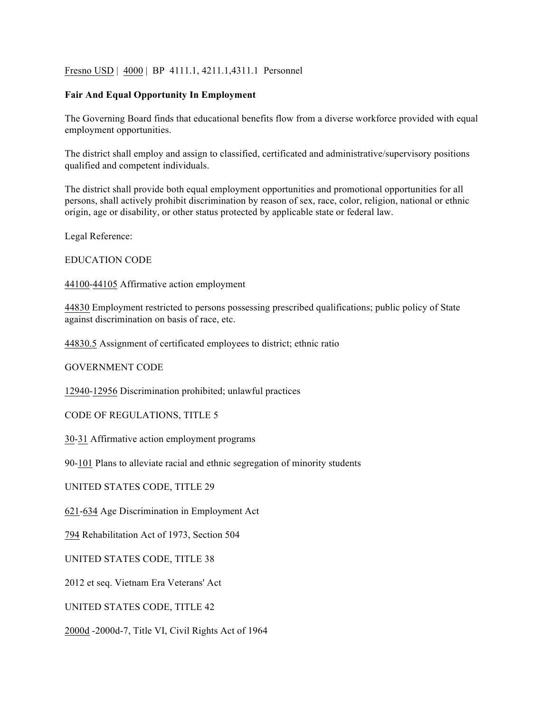## Fresno USD | 4000 | BP 4111.1, 4211.1, 4311.1 Personnel

## **Fair And Equal Opportunity In Employment**

The Governing Board finds that educational benefits flow from a diverse workforce provided with equal employment opportunities.

The district shall employ and assign to classified, certificated and administrative/supervisory positions qualified and competent individuals.

The district shall provide both equal employment opportunities and promotional opportunities for all persons, shall actively prohibit discrimination by reason of sex, race, color, religion, national or ethnic origin, age or disability, or other status protected by applicable state or federal law.

Legal Reference:

EDUCATION CODE

44100-44105 Affirmative action employment

44830 Employment restricted to persons possessing prescribed qualifications; public policy of State against discrimination on basis of race, etc.

44830.5 Assignment of certificated employees to district; ethnic ratio

GOVERNMENT CODE

12940-12956 Discrimination prohibited; unlawful practices

CODE OF REGULATIONS, TITLE 5

30-31 Affirmative action employment programs

90-101 Plans to alleviate racial and ethnic segregation of minority students

UNITED STATES CODE, TITLE 29

621-634 Age Discrimination in Employment Act

794 Rehabilitation Act of 1973, Section 504

UNITED STATES CODE, TITLE 38

2012 et seq. Vietnam Era Veterans' Act

UNITED STATES CODE, TITLE 42

2000d -2000d-7, Title VI, Civil Rights Act of 1964